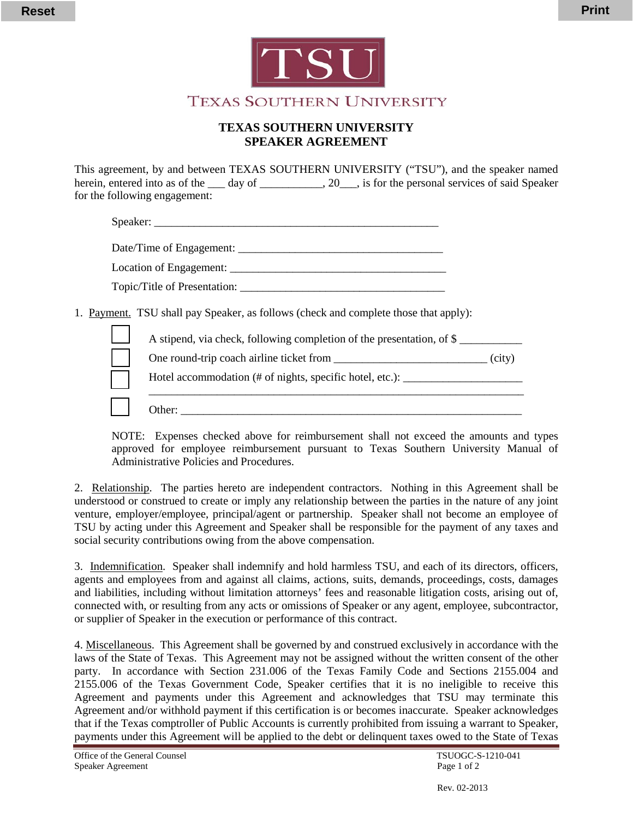

**TEXAS SOUTHERN UNIVERSITY** 

## **TEXAS SOUTHERN UNIVERSITY SPEAKER AGREEMENT**

This agreement, by and between TEXAS SOUTHERN UNIVERSITY ("TSU"), and the speaker named herein, entered into as of the \_\_\_ day of \_\_\_\_\_\_\_\_\_, 20\_\_\_, is for the personal services of said Speaker for the following engagement:

| 1. Payment. TSU shall pay Speaker, as follows (check and complete those that apply): |        |
|--------------------------------------------------------------------------------------|--------|
| A stipend, via check, following completion of the presentation, of \$                |        |
|                                                                                      | (city) |
| Hotel accommodation (# of nights, specific hotel, etc.): ________________________    |        |
| Other:                                                                               |        |

NOTE: Expenses checked above for reimbursement shall not exceed the amounts and types approved for employee reimbursement pursuant to Texas Southern University Manual of Administrative Policies and Procedures.

2. Relationship. The parties hereto are independent contractors. Nothing in this Agreement shall be understood or construed to create or imply any relationship between the parties in the nature of any joint venture, employer/employee, principal/agent or partnership. Speaker shall not become an employee of TSU by acting under this Agreement and Speaker shall be responsible for the payment of any taxes and social security contributions owing from the above compensation.

3. Indemnification. Speaker shall indemnify and hold harmless TSU, and each of its directors, officers, agents and employees from and against all claims, actions, suits, demands, proceedings, costs, damages and liabilities, including without limitation attorneys' fees and reasonable litigation costs, arising out of, connected with, or resulting from any acts or omissions of Speaker or any agent, employee, subcontractor, or supplier of Speaker in the execution or performance of this contract.

4. Miscellaneous. This Agreement shall be governed by and construed exclusively in accordance with the laws of the State of Texas. This Agreement may not be assigned without the written consent of the other party. In accordance with Section 231.006 of the Texas Family Code and Sections 2155.004 and 2155.006 of the Texas Government Code, Speaker certifies that it is no ineligible to receive this Agreement and payments under this Agreement and acknowledges that TSU may terminate this Agreement and/or withhold payment if this certification is or becomes inaccurate. Speaker acknowledges that if the Texas comptroller of Public Accounts is currently prohibited from issuing a warrant to Speaker, payments under this Agreement will be applied to the debt or delinquent taxes owed to the State of Texas